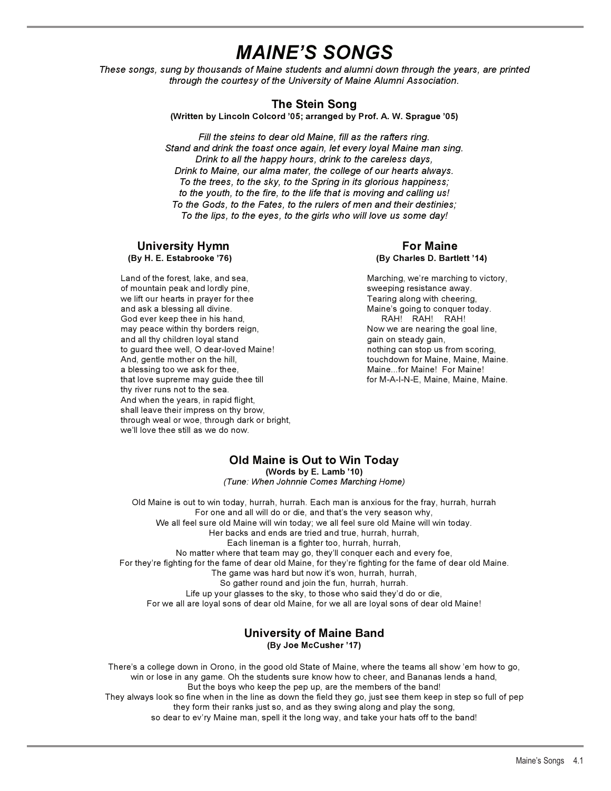# *MAINE'S SONGS*

*These songs, sung by thousands of Maine students and alumni down through the years, are printed through the courtesy of the University of Maine Alumni Association.*

### **The Stein Song**

**(Written by Lincoln Colcord '05; arranged by Prof. A. W. Sprague '05)**

*Fill the steins to dear old Maine, fill as the rafters ring. Stand and drink the toast once again, let every loyal Maine man sing. Drink to all the happy hours, drink to the careless days, Drink to Maine, our alma mater, the college of our hearts always. To the trees, to the sky, to the Spring in its glorious happiness; to the youth, to the fire, to the life that is moving and calling us! To the Gods, to the Fates, to the rulers of men and their destinies; To the lips, to the eyes, to the girls who will love us some day!*

## **University Hymn For Maine For Maine**

Land of the forest, lake, and sea, Marching, we're marching to victory, of mountain peak and lordly pine, such a sweeping resistance away. we lift our hearts in prayer for thee Tearing along with cheering, and ask a blessing all divine. Maine's going to conquer today. God ever keep thee in his hand, The Controller School and RAH! RAH! RAH! RAH! may peace within thy borders reign, Now we are nearing the goal line, and all thy children loyal stand gain on steady gain, gain on steady gain, to guard thee well, O dear-loved Maine! https://www.mothing.can stop us from scoring, And, gentle mother on the hill, touchdown for Maine, Maine, Maine.<br>a blessing too we ask for thee, to a maine, Maine...for Maine! For Maine! a blessing too we ask for thee. that love supreme may guide thee till **that is a set of M-A-I-N-E**, Maine, Maine, Maine. thy river runs not to the sea. And when the years, in rapid flight, shall leave their impress on thy brow, through weal or woe, through dark or bright, we'll love thee still as we do now.

# **(By H. E. Estabrooke '76) (By Charles D. Bartlett '14)**

### **Old Maine is Out to Win Today**

**(Words by E. Lamb '10)**

*(Tune: When Johnnie Comes Marching Home)*

Old Maine is out to win today, hurrah, hurrah. Each man is anxious for the fray, hurrah, hurrah For one and all will do or die, and that's the very season why, We all feel sure old Maine will win today; we all feel sure old Maine will win today. Her backs and ends are tried and true, hurrah, hurrah, Each lineman is a fighter too, hurrah, hurrah, No matter where that team may go, they'll conquer each and every foe, For they're fighting for the fame of dear old Maine, for they're fighting for the fame of dear old Maine. The game was hard but now it's won, hurrah, hurrah,

So gather round and join the fun, hurrah, hurrah.

Life up your glasses to the sky, to those who said they'd do or die,

For we all are loyal sons of dear old Maine, for we all are loyal sons of dear old Maine!

#### **University of Maine Band (By Joe McCusher '17)**

There's a college down in Orono, in the good old State of Maine, where the teams all show 'em how to go, win or lose in any game. Oh the students sure know how to cheer, and Bananas lends a hand, But the boys who keep the pep up, are the members of the band! They always look so fine when in the line as down the field they go, just see them keep in step so full of pep they form their ranks just so, and as they swing along and play the song, so dear to ev'ry Maine man, spell it the long way, and take your hats off to the band!